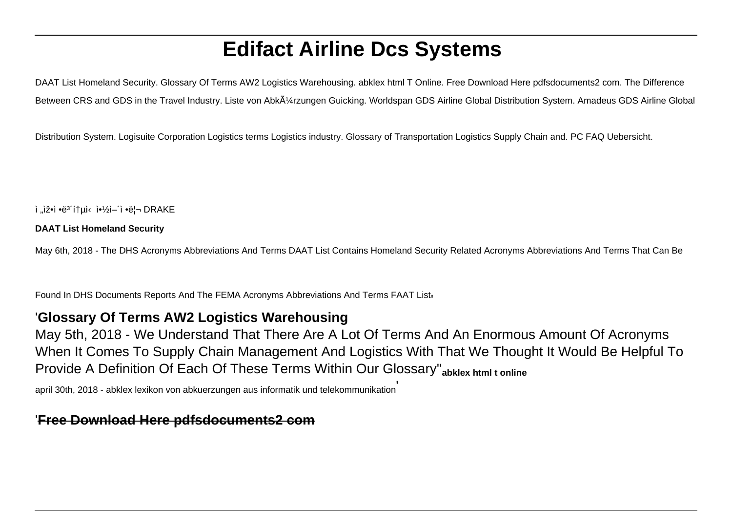# **Edifact Airline Dcs Systems**

DAAT List Homeland Security. Glossary Of Terms AW2 Logistics Warehousing. abklex html T Online. Free Download Here pdfsdocuments2 com. The Difference Between CRS and GDS in the Travel Industry. Liste von Abkļrzungen Guicking. Worldspan GDS Airline Global Distribution System. Amadeus GDS Airline Global

Distribution System. Logisuite Corporation Logistics terms Logistics industry. Glossary of Transportation Logistics Supply Chain and. PC FAQ Uebersicht.

ì "ìž•ì •ë<sup>3</sup>´í†µì‹ 약ì–´ì •ë¦¬ DRAKE

#### **DAAT List Homeland Security**

May 6th, 2018 - The DHS Acronyms Abbreviations And Terms DAAT List Contains Homeland Security Related Acronyms Abbreviations And Terms That Can Be

Found In DHS Documents Reports And The FEMA Acronyms Abbreviations And Terms FAAT Listi

#### '**Glossary Of Terms AW2 Logistics Warehousing**

May 5th, 2018 - We Understand That There Are A Lot Of Terms And An Enormous Amount Of Acronyms When It Comes To Supply Chain Management And Logistics With That We Thought It Would Be Helpful To Provide A Definition Of Each Of These Terms Within Our Glossary''**abklex html t online**

april 30th, 2018 - abklex lexikon von abkuerzungen aus informatik und telekommunikation'

#### '**Free Download Here pdfsdocuments2 com**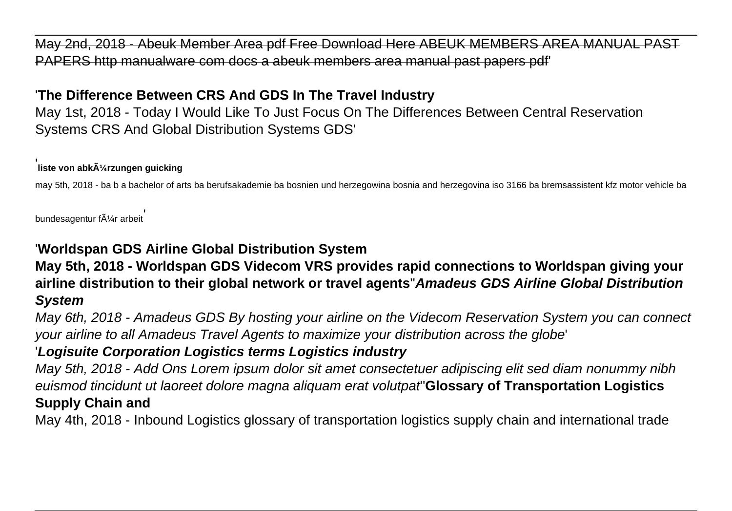May 2nd, 2018 - Abeuk Member Area pdf Free Download Here ABEUK MEMBERS AREA MANUAL PAST PAPERS http manualware com docs a abeuk members area manual past papers pdf'

# '**The Difference Between CRS And GDS In The Travel Industry**

May 1st, 2018 - Today I Would Like To Just Focus On The Differences Between Central Reservation Systems CRS And Global Distribution Systems GDS'

#### **∣**<br>Iiste von abkürzungen guicking

may 5th, 2018 - ba b a bachelor of arts ba berufsakademie ba bosnien und herzegowina bosnia and herzegovina iso 3166 ba bremsassistent kfz motor vehicle ba

bundesagentur f $\tilde{A}$ 1/4r arbeit

# '**Worldspan GDS Airline Global Distribution System**

### **May 5th, 2018 - Worldspan GDS Videcom VRS provides rapid connections to Worldspan giving your airline distribution to their global network or travel agents**''**Amadeus GDS Airline Global Distribution System**

May 6th, 2018 - Amadeus GDS By hosting your airline on the Videcom Reservation System you can connect your airline to all Amadeus Travel Agents to maximize your distribution across the globe'

# '**Logisuite Corporation Logistics terms Logistics industry**

May 5th, 2018 - Add Ons Lorem ipsum dolor sit amet consectetuer adipiscing elit sed diam nonummy nibh euismod tincidunt ut laoreet dolore magna aliquam erat volutpat''**Glossary of Transportation Logistics Supply Chain and**

May 4th, 2018 - Inbound Logistics glossary of transportation logistics supply chain and international trade